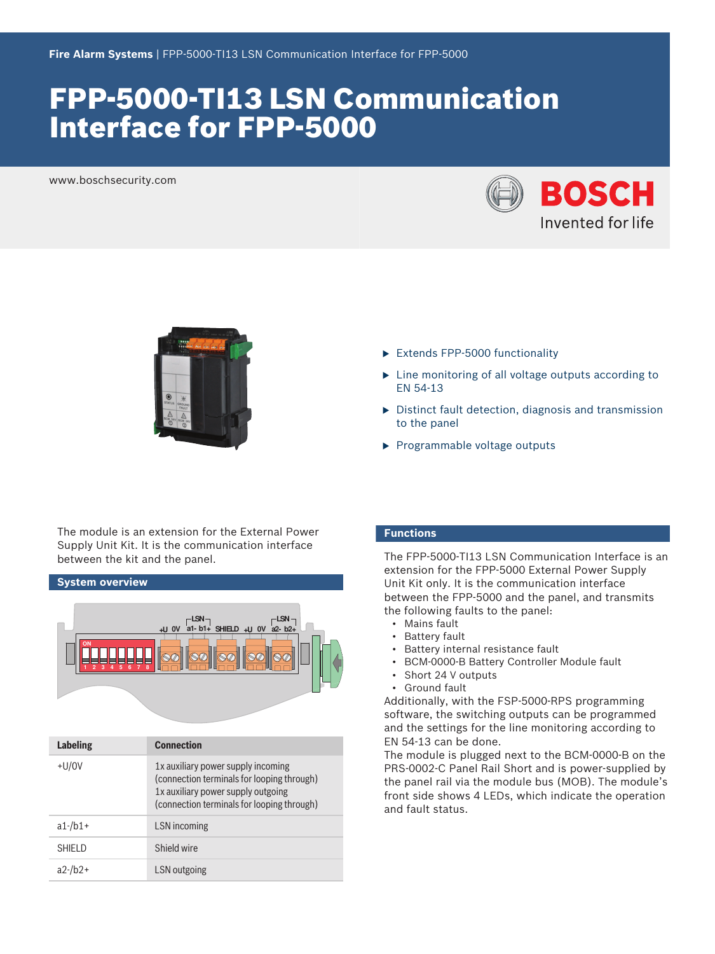# FPP-5000-TI13 LSN Communication Interface for FPP-5000

www.boschsecurity.com





The module is an extension for the External Power Supply Unit Kit. It is the communication interface between the kit and the panel.

**System overview ON 2 SHIELD LSN +U +U 0V 0V a1- b1+ a2- b2+ LSN 3 4 5 6 7 8**

| <b>Labeling</b> | <b>Connection</b>                                                                                                                                                    |
|-----------------|----------------------------------------------------------------------------------------------------------------------------------------------------------------------|
| $+U/0V$         | 1x auxiliary power supply incoming<br>(connection terminals for looping through)<br>1x auxiliary power supply outgoing<br>(connection terminals for looping through) |
| $a1$ -/b $1+$   | LSN incoming                                                                                                                                                         |
| <b>SHIELD</b>   | Shield wire                                                                                                                                                          |
| $a2-fb2+$       | LSN outgoing                                                                                                                                                         |

- to the panel
- $\blacktriangleright$  Programmable voltage outputs

 $\blacktriangleright$  Extends FPP-5000 functionality

#### **Functions**

EN 54-13

The FPP-5000-TI13 LSN Communication Interface is an extension for the FPP-5000 External Power Supply Unit Kit only. It is the communication interface between the FPP-5000 and the panel, and transmits the following faults to the panel:

 $\blacktriangleright$  Line monitoring of all voltage outputs according to

 $\triangleright$  Distinct fault detection, diagnosis and transmission

- Mains fault
- **Battery fault**
- Battery internal resistance fault
- BCM-0000-B Battery Controller Module fault
- Short 24 V outputs
- Ground fault

Additionally, with the FSP-5000-RPS programming software, the switching outputs can be programmed and the settings for the line monitoring according to EN 54-13 can be done.

The module is plugged next to the BCM-0000-B on the PRS-0002-C Panel Rail Short and is power-supplied by the panel rail via the module bus (MOB). The module's front side shows 4 LEDs, which indicate the operation and fault status.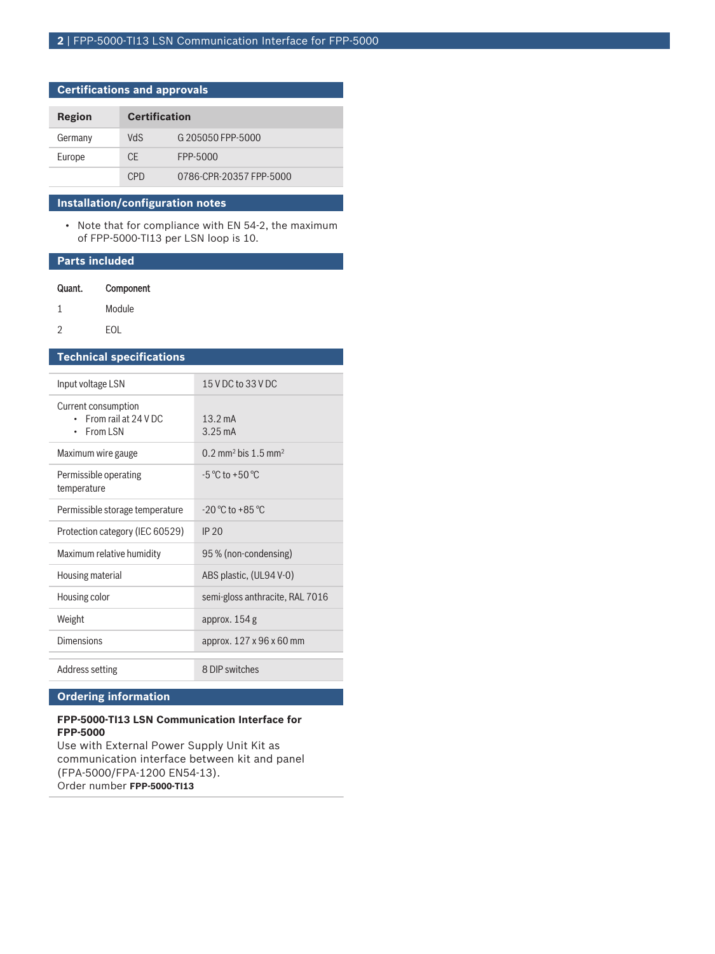## **Certifications and approvals**

| Region  | <b>Certification</b> |                         |
|---------|----------------------|-------------------------|
| Germany | VdS                  | G 205050 FPP-5000       |
| Europe  | CF.                  | FPP-5000                |
|         | C <sub>PD</sub>      | 0786-CPR-20357 FPP-5000 |

#### **Installation/configuration notes**

• Note that for compliance with EN 54-2, the maximum of FPP-5000-TI13 per LSN loop is 10.

#### **Parts included**

| Component<br>Quant. |
|---------------------|
|---------------------|

- 1 Module
- 2 EOL

## **Technical specifications**

| Input voltage LSN                                                | 15 V DC to 33 V DC                            |
|------------------------------------------------------------------|-----------------------------------------------|
| Current consumption<br>From rail at 24 V DC<br>$\cdot$ From I SN | $13.2 \text{ mA}$<br>$3.25 \text{ mA}$        |
| Maximum wire gauge                                               | $0.2$ mm <sup>2</sup> bis 1.5 mm <sup>2</sup> |
| Permissible operating<br>temperature                             | $-5$ °C to +50 °C.                            |
| Permissible storage temperature                                  | $-20^{\circ}$ C to $+85^{\circ}$ C            |
| Protection category (IEC 60529)                                  | IP 20                                         |
| Maximum relative humidity                                        | 95 % (non-condensing)                         |
| Housing material                                                 | ABS plastic, (UL94 V-0)                       |
| Housing color                                                    | semi-gloss anthracite, RAL 7016               |
| Weight                                                           | approx. $154$ g                               |
| Dimensions                                                       | approx. 127 x 96 x 60 mm                      |
| Address setting                                                  | 8 DIP switches                                |

## **Ordering information**

#### **FPP-5000-TI13 LSN Communication Interface for FPP-5000**

Use with External Power Supply Unit Kit as communication interface between kit and panel (FPA‑5000/FPA-1200 EN54-13). Order number **FPP-5000-TI13**